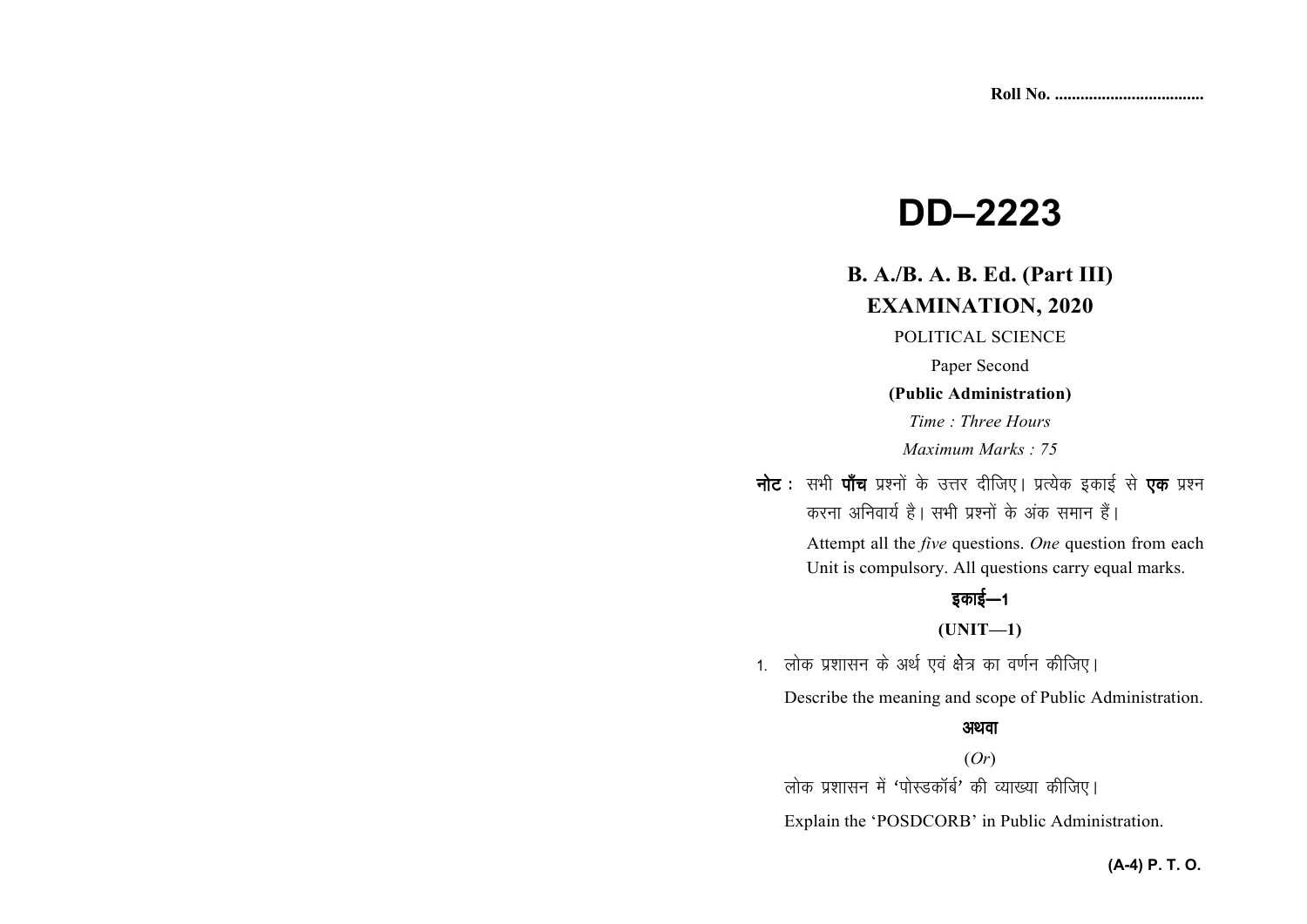# **DD–2223**

# **B. A./B. A. B. Ed. (Part III) EXAMINATION, 2020**

POLITICAL SCIENCE

Paper Second

**(Public Administration)** 

*Time : Three Hours Maximum Marks : 75* 

नोट : सभी पाँच प्रश्नों के उत्तर दीजिए। प्रत्येक इकाई से **एक** प्रश्न करना अनिवार्य है। सभी प्रश्नों के अंक समान हैं।

> Attempt all the *five* questions. *One* question from each Unit is compulsory. All questions carry equal marks.

# इकाई—1

**(UNIT—1)** 

1. लोक प्रशासन के अर्थ एवं क्षेत्र का वर्णन कीजिए।

Describe the meaning and scope of Public Administration.

#### अथवा

(*Or*)

लोक प्रशासन में 'पोस्डकॉर्ब' की व्याख्या कीजिए।

Explain the 'POSDCORB' in Public Administration.